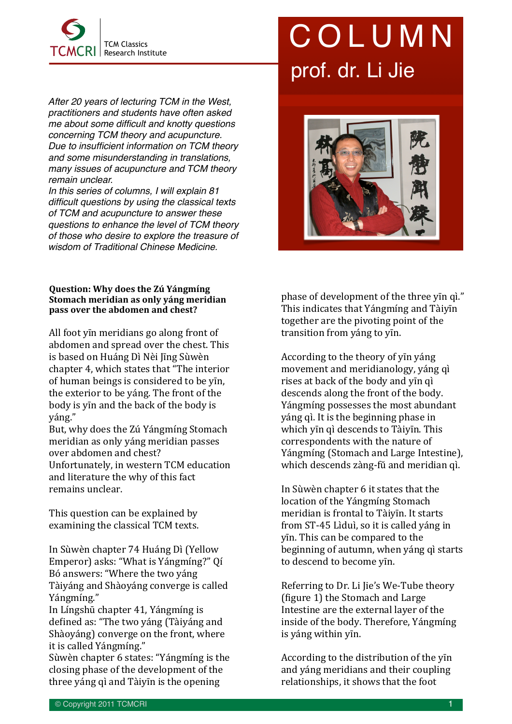

*After 20 years of lecturing TCM in the West, practitioners and students have often asked me about some difficult and knotty questions concerning TCM theory and acupuncture. Due to insufficient information on TCM theory and some misunderstanding in translations, many issues of acupuncture and TCM theory remain unclear.* 

*In this series of columns, I will explain 81 difficult questions by using the classical texts of TCM and acupuncture to answer these questions to enhance the level of TCM theory of those who desire to explore the treasure of wisdom of Traditional Chinese Medicine.*

## **Question: Why does the Zú Yángmíng Stomach meridian as only yáng meridian pass over the abdomen and chest?**

All foot yin meridians go along front of abdomen and spread over the chest. This is based on Huáng Dì Nèi Jīng Sùwèn chapter 4, which states that "The interior" of human beings is considered to be yīn, the exterior to be váng. The front of the body is yin and the back of the body is váng."

But, why does the Zú Yángmíng Stomach meridian as only yáng meridian passes over abdomen and chest? Unfortunately, in western TCM education and literature the why of this fact

remains unclear.

This question can be explained by examining the classical TCM texts.

In Sùwèn chapter 74 Huáng Dì (Yellow Emperor) asks: "What is Yángmíng?" Qí Bó answers: "Where the two yáng Tàiyáng and Shàoyáng converge is called Yángmíng."

In Língshū chapter 41, Yángmíng is defined as: "The two yáng (Tàiyáng and Shàoyáng) converge on the front, where it is called Yángmíng."

Sùwèn chapter 6 states: "Yángmíng is the closing phase of the development of the three yáng qì and Tàiyīn is the opening

## COLUMN prof. dr. Li Jie



phase of development of the three yīn qì." This indicates that Yángmíng and Tàiyīn together are the pivoting point of the transition from yáng to yīn.

According to the theory of yin yáng movement and meridianology, yáng qì rises at back of the body and yīn qì descends along the front of the body. Yángmíng possesses the most abundant yáng qì. It is the beginning phase in which yīn qì descends to Tàiyīn. This correspondents with the nature of Yángmíng (Stomach and Large Intestine), which descends zàng-fŭ and meridian qì.

In Sùwèn chapter 6 it states that the location of the Yángmíng Stomach meridian is frontal to Tàivīn. It starts from ST-45 Lìduì, so it is called váng in yīn. This can be compared to the beginning of autumn, when yáng qì starts to descend to become yīn.

Referring to Dr. Li Jie's We-Tube theory (figure 1) the Stomach and Large Intestine are the external layer of the inside of the body. Therefore, Yángmíng is yáng within yīn.

According to the distribution of the yin and yáng meridians and their coupling relationships, it shows that the foot